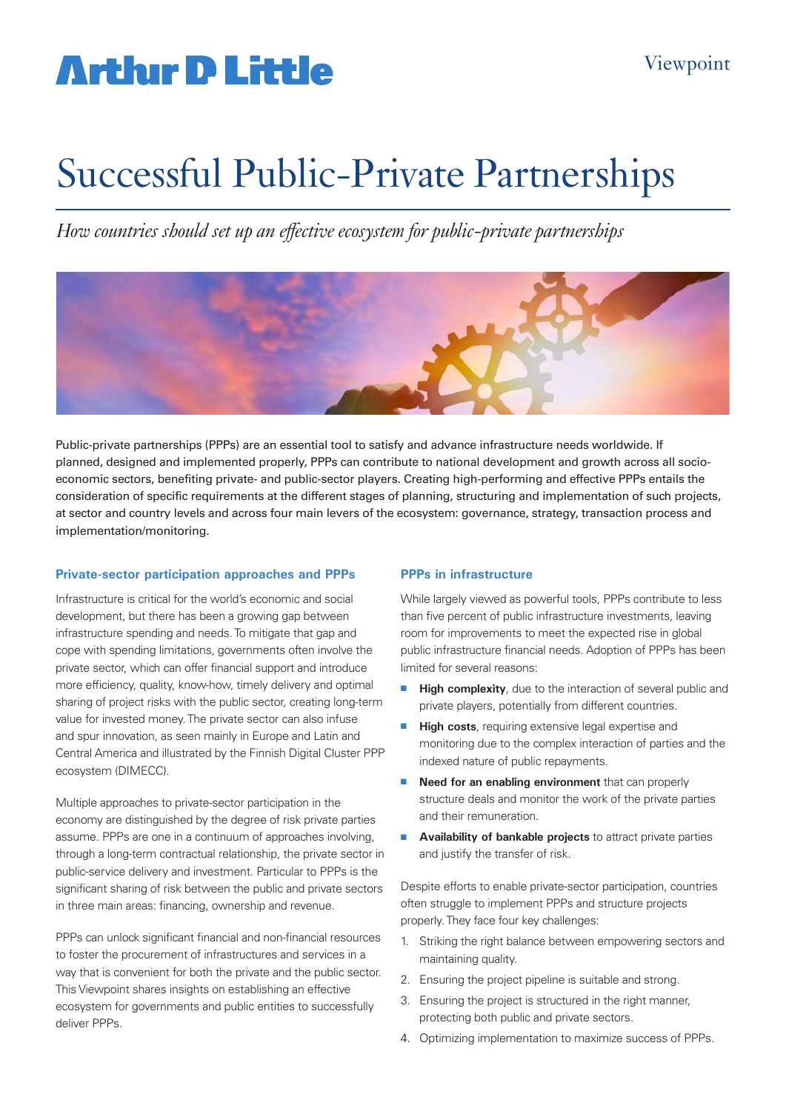## **Artlur D Little**

# Successful Public-Private Partnerships

*How countries should set up an effective ecosystem for public-private partnerships*



Public-private partnerships (PPPs) are an essential tool to satisfy and advance infrastructure needs worldwide. If planned, designed and implemented properly, PPPs can contribute to national development and growth across all socioeconomic sectors, benefiting private- and public-sector players. Creating high-performing and effective PPPs entails the consideration of specific requirements at the different stages of planning, structuring and implementation of such projects, at sector and country levels and across four main levers of the ecosystem: governance, strategy, transaction process and implementation/monitoring.

### **Private-sector participation approaches and PPPs**

Infrastructure is critical for the world's economic and social development, but there has been a growing gap between infrastructure spending and needs. To mitigate that gap and cope with spending limitations, governments often involve the private sector, which can offer financial support and introduce more efficiency, quality, know-how, timely delivery and optimal sharing of project risks with the public sector, creating long-term value for invested money. The private sector can also infuse and spur innovation, as seen mainly in Europe and Latin and Central America and illustrated by the Finnish Digital Cluster PPP ecosystem (DIMECC).

Multiple approaches to private-sector participation in the economy are distinguished by the degree of risk private parties assume. PPPs are one in a continuum of approaches involving, through a long-term contractual relationship, the private sector in public-service delivery and investment. Particular to PPPs is the significant sharing of risk between the public and private sectors in three main areas: financing, ownership and revenue.

PPPs can unlock significant financial and non-financial resources to foster the procurement of infrastructures and services in a way that is convenient for both the private and the public sector. This Viewpoint shares insights on establishing an effective ecosystem for governments and public entities to successfully deliver PPPs.

### **PPPs in infrastructure**

While largely viewed as powerful tools, PPPs contribute to less than five percent of public infrastructure investments, leaving room for improvements to meet the expected rise in global public infrastructure financial needs. Adoption of PPPs has been limited for several reasons:

- **High complexity**, due to the interaction of several public and private players, potentially from different countries.
- **High costs**, requiring extensive legal expertise and monitoring due to the complex interaction of parties and the indexed nature of public repayments.
- **n** Need for an enabling environment that can properly structure deals and monitor the work of the private parties and their remuneration.
- **Availability of bankable projects** to attract private parties and justify the transfer of risk.

Despite efforts to enable private-sector participation, countries often struggle to implement PPPs and structure projects properly. They face four key challenges:

- 1. Striking the right balance between empowering sectors and maintaining quality.
- 2. Ensuring the project pipeline is suitable and strong.
- 3. Ensuring the project is structured in the right manner, protecting both public and private sectors.
- 4. Optimizing implementation to maximize success of PPPs.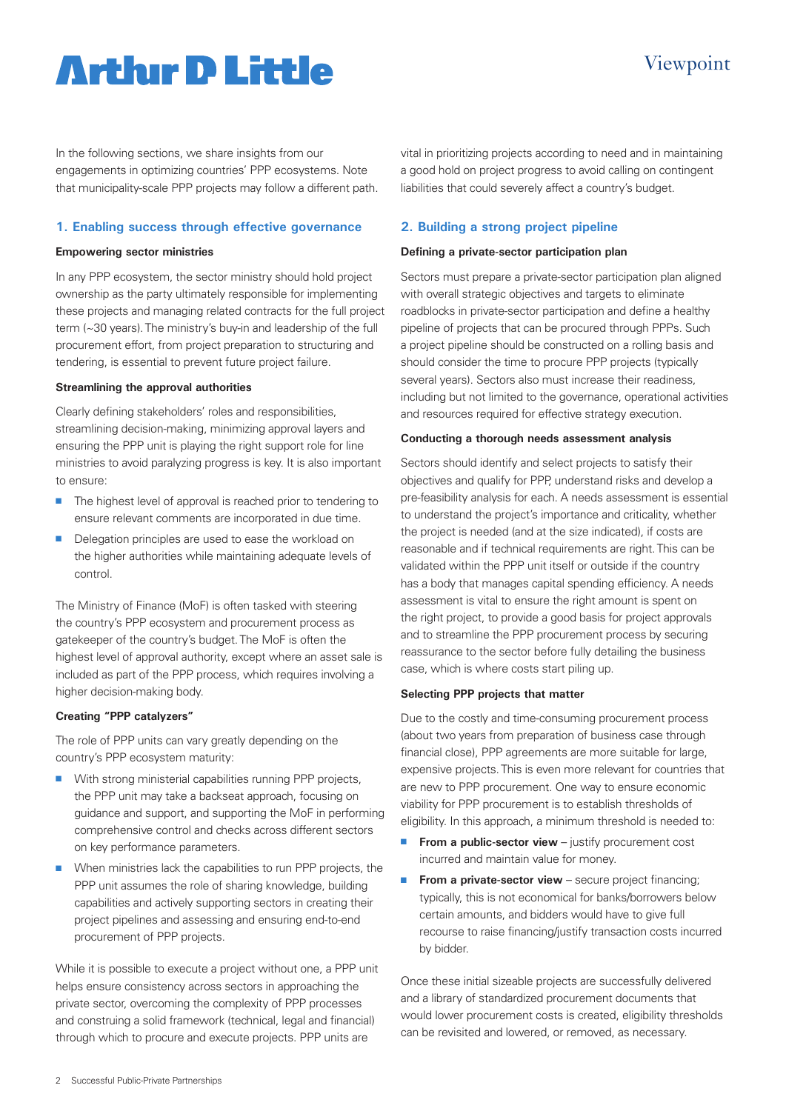### **Artlur D Little**

In the following sections, we share insights from our engagements in optimizing countries' PPP ecosystems. Note that municipality-scale PPP projects may follow a different path.

#### **1. Enabling success through effective governance**

#### **Empowering sector ministries**

In any PPP ecosystem, the sector ministry should hold project ownership as the party ultimately responsible for implementing these projects and managing related contracts for the full project term (~30 years). The ministry's buy-in and leadership of the full procurement effort, from project preparation to structuring and tendering, is essential to prevent future project failure.

#### **Streamlining the approval authorities**

Clearly defining stakeholders' roles and responsibilities, streamlining decision-making, minimizing approval layers and ensuring the PPP unit is playing the right support role for line ministries to avoid paralyzing progress is key. It is also important to ensure:

- The highest level of approval is reached prior to tendering to ensure relevant comments are incorporated in due time.
- Delegation principles are used to ease the workload on the higher authorities while maintaining adequate levels of control.

The Ministry of Finance (MoF) is often tasked with steering the country's PPP ecosystem and procurement process as gatekeeper of the country's budget. The MoF is often the highest level of approval authority, except where an asset sale is included as part of the PPP process, which requires involving a higher decision-making body.

#### **Creating "PPP catalyzers"**

The role of PPP units can vary greatly depending on the country's PPP ecosystem maturity:

- $\blacksquare$  With strong ministerial capabilities running PPP projects, the PPP unit may take a backseat approach, focusing on guidance and support, and supporting the MoF in performing comprehensive control and checks across different sectors on key performance parameters.
- When ministries lack the capabilities to run PPP projects, the PPP unit assumes the role of sharing knowledge, building capabilities and actively supporting sectors in creating their project pipelines and assessing and ensuring end-to-end procurement of PPP projects.

While it is possible to execute a project without one, a PPP unit helps ensure consistency across sectors in approaching the private sector, overcoming the complexity of PPP processes and construing a solid framework (technical, legal and financial) through which to procure and execute projects. PPP units are

vital in prioritizing projects according to need and in maintaining a good hold on project progress to avoid calling on contingent liabilities that could severely affect a country's budget.

#### **2. Building a strong project pipeline**

#### **Defining a private-sector participation plan**

Sectors must prepare a private-sector participation plan aligned with overall strategic objectives and targets to eliminate roadblocks in private-sector participation and define a healthy pipeline of projects that can be procured through PPPs. Such a project pipeline should be constructed on a rolling basis and should consider the time to procure PPP projects (typically several years). Sectors also must increase their readiness, including but not limited to the governance, operational activities and resources required for effective strategy execution.

#### **Conducting a thorough needs assessment analysis**

Sectors should identify and select projects to satisfy their objectives and qualify for PPP, understand risks and develop a pre-feasibility analysis for each. A needs assessment is essential to understand the project's importance and criticality, whether the project is needed (and at the size indicated), if costs are reasonable and if technical requirements are right. This can be validated within the PPP unit itself or outside if the country has a body that manages capital spending efficiency. A needs assessment is vital to ensure the right amount is spent on the right project, to provide a good basis for project approvals and to streamline the PPP procurement process by securing reassurance to the sector before fully detailing the business case, which is where costs start piling up.

#### **Selecting PPP projects that matter**

Due to the costly and time-consuming procurement process (about two years from preparation of business case through financial close), PPP agreements are more suitable for large, expensive projects. This is even more relevant for countries that are new to PPP procurement. One way to ensure economic viability for PPP procurement is to establish thresholds of eligibility. In this approach, a minimum threshold is needed to:

- **From a public-sector view** justify procurement cost incurred and maintain value for money.
- **From a private-sector view** secure project financing; typically, this is not economical for banks/borrowers below certain amounts, and bidders would have to give full recourse to raise financing/justify transaction costs incurred by bidder.

Once these initial sizeable projects are successfully delivered and a library of standardized procurement documents that would lower procurement costs is created, eligibility thresholds can be revisited and lowered, or removed, as necessary.

### Viewpoint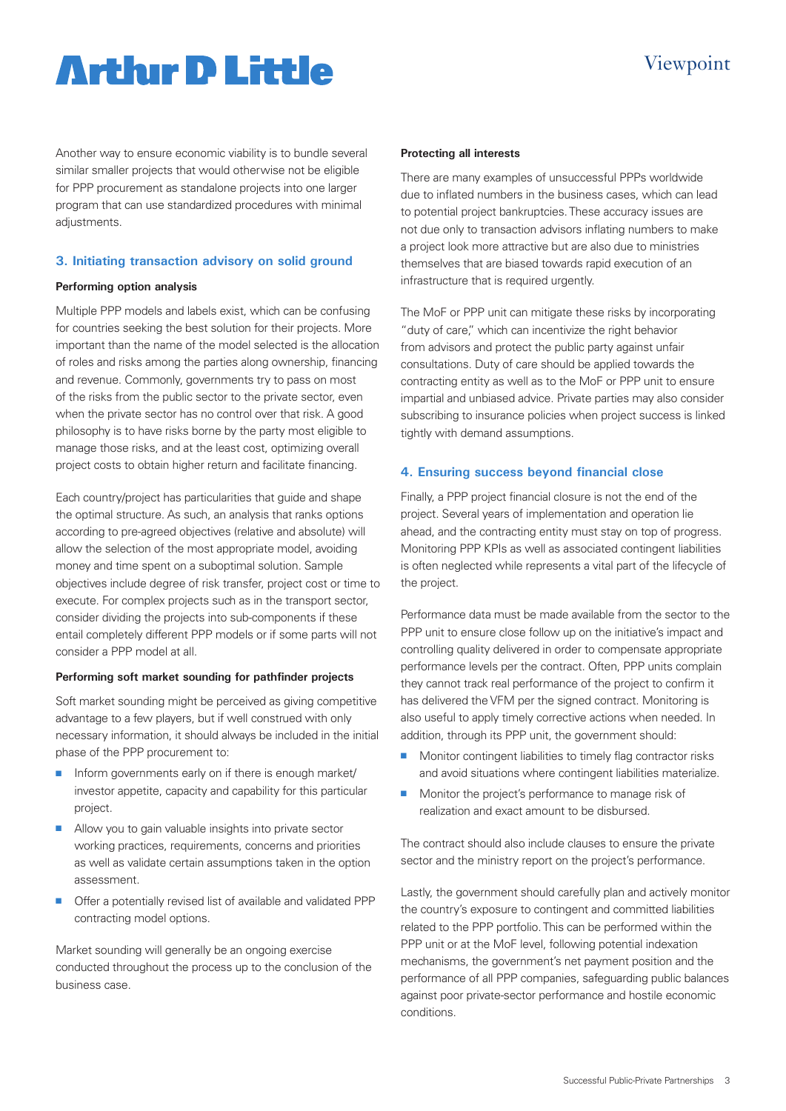## **Artlur D Little**

### Viewpoint

Another way to ensure economic viability is to bundle several similar smaller projects that would otherwise not be eligible for PPP procurement as standalone projects into one larger program that can use standardized procedures with minimal adjustments.

#### **3. Initiating transaction advisory on solid ground**

#### **Performing option analysis**

Multiple PPP models and labels exist, which can be confusing for countries seeking the best solution for their projects. More important than the name of the model selected is the allocation of roles and risks among the parties along ownership, financing and revenue. Commonly, governments try to pass on most of the risks from the public sector to the private sector, even when the private sector has no control over that risk. A good philosophy is to have risks borne by the party most eligible to manage those risks, and at the least cost, optimizing overall project costs to obtain higher return and facilitate financing.

Each country/project has particularities that guide and shape the optimal structure. As such, an analysis that ranks options according to pre-agreed objectives (relative and absolute) will allow the selection of the most appropriate model, avoiding money and time spent on a suboptimal solution. Sample objectives include degree of risk transfer, project cost or time to execute. For complex projects such as in the transport sector, consider dividing the projects into sub-components if these entail completely different PPP models or if some parts will not consider a PPP model at all.

#### **Performing soft market sounding for pathfinder projects**

Soft market sounding might be perceived as giving competitive advantage to a few players, but if well construed with only necessary information, it should always be included in the initial phase of the PPP procurement to:

- $\blacksquare$  Inform governments early on if there is enough market/ investor appetite, capacity and capability for this particular project.
- $\blacksquare$  Allow you to gain valuable insights into private sector working practices, requirements, concerns and priorities as well as validate certain assumptions taken in the option assessment.
- Offer a potentially revised list of available and validated PPP contracting model options.

Market sounding will generally be an ongoing exercise conducted throughout the process up to the conclusion of the business case.

#### **Protecting all interests**

There are many examples of unsuccessful PPPs worldwide due to inflated numbers in the business cases, which can lead to potential project bankruptcies. These accuracy issues are not due only to transaction advisors inflating numbers to make a project look more attractive but are also due to ministries themselves that are biased towards rapid execution of an infrastructure that is required urgently.

The MoF or PPP unit can mitigate these risks by incorporating "duty of care," which can incentivize the right behavior from advisors and protect the public party against unfair consultations. Duty of care should be applied towards the contracting entity as well as to the MoF or PPP unit to ensure impartial and unbiased advice. Private parties may also consider subscribing to insurance policies when project success is linked tightly with demand assumptions.

#### **4. Ensuring success beyond financial close**

Finally, a PPP project financial closure is not the end of the project. Several years of implementation and operation lie ahead, and the contracting entity must stay on top of progress. Monitoring PPP KPIs as well as associated contingent liabilities is often neglected while represents a vital part of the lifecycle of the project.

Performance data must be made available from the sector to the PPP unit to ensure close follow up on the initiative's impact and controlling quality delivered in order to compensate appropriate performance levels per the contract. Often, PPP units complain they cannot track real performance of the project to confirm it has delivered the VFM per the signed contract. Monitoring is also useful to apply timely corrective actions when needed. In addition, through its PPP unit, the government should:

- Monitor contingent liabilities to timely flag contractor risks and avoid situations where contingent liabilities materialize.
- **n** Monitor the project's performance to manage risk of realization and exact amount to be disbursed.

The contract should also include clauses to ensure the private sector and the ministry report on the project's performance.

Lastly, the government should carefully plan and actively monitor the country's exposure to contingent and committed liabilities related to the PPP portfolio. This can be performed within the PPP unit or at the MoF level, following potential indexation mechanisms, the government's net payment position and the performance of all PPP companies, safeguarding public balances against poor private-sector performance and hostile economic conditions.